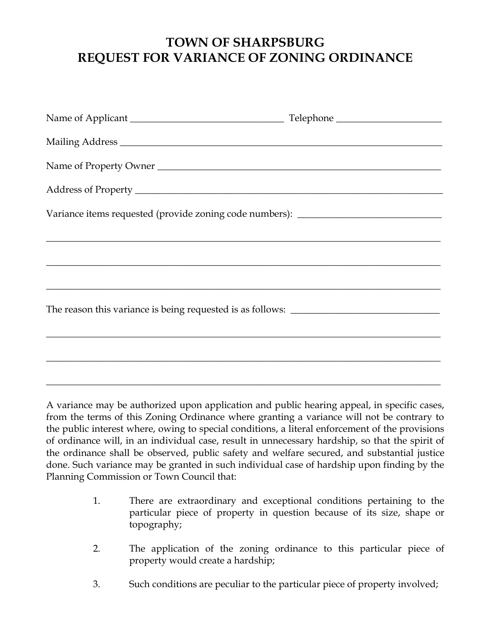## **TOWN OF SHARPSBURG REQUEST FOR VARIANCE OF ZONING ORDINANCE**

| Name of Property Owner                                                                                                |  |
|-----------------------------------------------------------------------------------------------------------------------|--|
|                                                                                                                       |  |
| Variance items requested (provide zoning code numbers): ________________________                                      |  |
|                                                                                                                       |  |
| <u> 2000 - Jan Barat de Barat de la contrada de la contrada de la contrada de la contrada de la contrada de la c</u>  |  |
| <u> 1989 - Johann Harry Harry Harry Harry Harry Harry Harry Harry Harry Harry Harry Harry Harry Harry Harry Harry</u> |  |
|                                                                                                                       |  |
|                                                                                                                       |  |
|                                                                                                                       |  |

A variance may be authorized upon application and public hearing appeal, in specific cases, from the terms of this Zoning Ordinance where granting a variance will not be contrary to the public interest where, owing to special conditions, a literal enforcement of the provisions of ordinance will, in an individual case, result in unnecessary hardship, so that the spirit of the ordinance shall be observed, public safety and welfare secured, and substantial justice done. Such variance may be granted in such individual case of hardship upon finding by the Planning Commission or Town Council that:

- 1. There are extraordinary and exceptional conditions pertaining to the particular piece of property in question because of its size, shape or topography;
- 2. The application of the zoning ordinance to this particular piece of property would create a hardship;
- 3. Such conditions are peculiar to the particular piece of property involved;